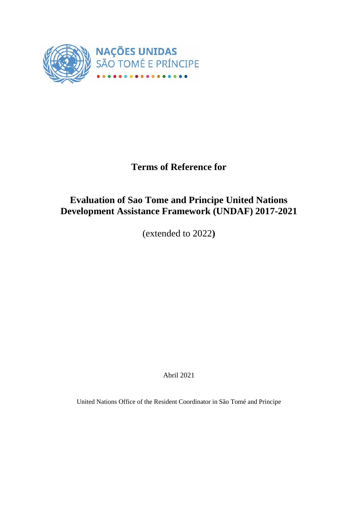

# **Terms of Reference for**

# **Evaluation of Sao Tome and Principe United Nations Development Assistance Framework (UNDAF) 2017-2021**

(extended to 2022**)**

Abril 2021

United Nations Office of the Resident Coordinator in São Tomé and Principe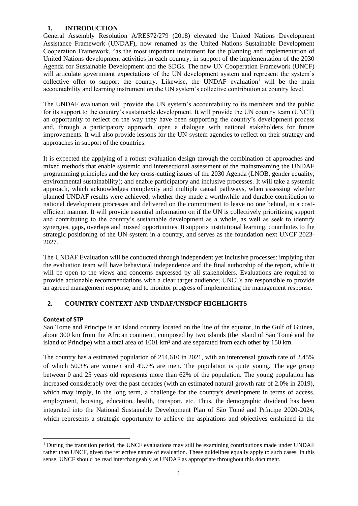# **1. INTRODUCTION**

General Assembly Resolution A/RES72/279 (2018) elevated the United Nations Development Assistance Framework (UNDAF), now renamed as the United Nations Sustainable Development Cooperation Framework, "as the most important instrument for the planning and implementation of United Nations development activities in each country, in support of the implementation of the 2030 Agenda for Sustainable Development and the SDGs. The new UN Cooperation Framework (UNCF) will articulate government expectations of the UN development system and represent the system's collective offer to support the country. Likewise, the UNDAF evaluation<sup>1</sup> will be the main accountability and learning instrument on the UN system's collective contribution at country level.

The UNDAF evaluation will provide the UN system's accountability to its members and the public for its support to the country's sustainable development. It will provide the UN country team (UNCT) an opportunity to reflect on the way they have been supporting the country's development process and, through a participatory approach, open a dialogue with national stakeholders for future improvements. It will also provide lessons for the UN-system agencies to reflect on their strategy and approaches in support of the countries.

It is expected the applying of a robust evaluation design through the combination of approaches and mixed methods that enable systemic and intersectional assessment of the mainstreaming the UNDAF programming principles and the key cross-cutting issues of the 2030 Agenda (LNOB, gender equality, environmental sustainability); and enable participatory and inclusive processes. It will take a systemic approach, which acknowledges complexity and multiple causal pathways, when assessing whether planned UNDAF results were achieved, whether they made a worthwhile and durable contribution to national development processes and delivered on the commitment to leave no one behind, in a costefficient manner. It will provide essential information on if the UN is collectively prioritizing support and contributing to the country's sustainable development as a whole, as well as seek to identify synergies, gaps, overlaps and missed opportunities. It supports institutional learning, contributes to the strategic positioning of the UN system in a country, and serves as the foundation next UNCF 2023- 2027.

The UNDAF Evaluation will be conducted through independent yet inclusive processes: implying that the evaluation team will have behavioral independence and the final authorship of the report, while it will be open to the views and concerns expressed by all stakeholders. Evaluations are required to provide actionable recommendations with a clear target audience; UNCTs are responsible to provide an agreed management response, and to monitor progress of implementing the management response.

# **2. COUNTRY CONTEXT AND UNDAF/UNSDCF HIGHLIGHTS**

# **Context of STP**

Sao Tome and Principe is an island country located on the line of the equator, in the Gulf of Guinea, about 300 km from the African continent, composed by two islands (the island of São Tomé and the island of Príncipe) with a total area of 1001 km² and are separated from each other by 150 km.

The country has a estimated population of 214,610 in 2021, with an intercensal growth rate of 2.45% of which 50.3% are women and 49.7% are men. The population is quite young. The age group between 0 and 25 years old represents more than 62% of the population. The young population has increased considerably over the past decades (with an estimated natural growth rate of 2.0% in 2019), which may imply, in the long term, a challenge for the country's development in terms of access. employment, housing, education, health, transport, etc. Thus, the demographic dividend has been integrated into the National Sustainable Development Plan of São Tomé and Príncipe 2020-2024, which represents a strategic opportunity to achieve the aspirations and objectives enshrined in the

<sup>&</sup>lt;sup>1</sup> During the transition period, the UNCF evaluations may still be examining contributions made under UNDAF rather than UNCF, given the reflective nature of evaluation. These guidelines equally apply to such cases. In this sense, UNCF should be read interchangeably as UNDAF as appropriate throughout this document.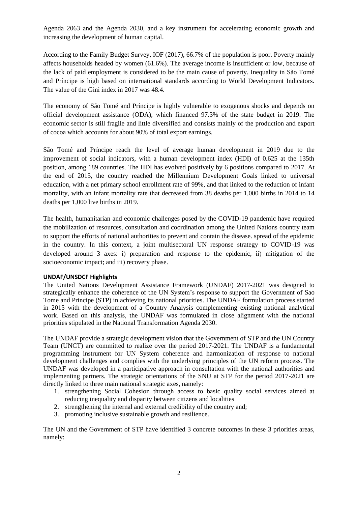Agenda 2063 and the Agenda 2030, and a key instrument for accelerating economic growth and increasing the development of human capital.

According to the Family Budget Survey, IOF (2017), 66.7% of the population is poor. Poverty mainly affects households headed by women (61.6%). The average income is insufficient or low, because of the lack of paid employment is considered to be the main cause of poverty. Inequality in São Tomé and Príncipe is high based on international standards according to World Development Indicators. The value of the Gini index in 2017 was 48.4.

The economy of São Tomé and Príncipe is highly vulnerable to exogenous shocks and depends on official development assistance (ODA), which financed 97.3% of the state budget in 2019. The economic sector is still fragile and little diversified and consists mainly of the production and export of cocoa which accounts for about 90% of total export earnings.

São Tomé and Príncipe reach the level of average human development in 2019 due to the improvement of social indicators, with a human development index (HDI) of 0.625 at the 135th position, among 189 countries. The HDI has evolved positively by 6 positions compared to 2017. At the end of 2015, the country reached the Millennium Development Goals linked to universal education, with a net primary school enrollment rate of 99%, and that linked to the reduction of infant mortality, with an infant mortality rate that decreased from 38 deaths per 1,000 births in 2014 to 14 deaths per 1,000 live births in 2019.

The health, humanitarian and economic challenges posed by the COVID-19 pandemic have required the mobilization of resources, consultation and coordination among the United Nations country team to support the efforts of national authorities to prevent and contain the disease. spread of the epidemic in the country. In this context, a joint multisectoral UN response strategy to COVID-19 was developed around 3 axes: i) preparation and response to the epidemic, ii) mitigation of the socioeconomic impact; and iii) recovery phase.

### **UNDAF/UNSDCF Highlights**

The United Nations Development Assistance Framework (UNDAF) 2017-2021 was designed to strategically enhance the coherence of the UN System's response to support the Government of Sao Tome and Principe (STP) in achieving its national priorities. The UNDAF formulation process started in 2015 with the development of a Country Analysis complementing existing national analytical work. Based on this analysis, the UNDAF was formulated in close alignment with the national priorities stipulated in the National Transformation Agenda 2030.

The UNDAF provide a strategic development vision that the Government of STP and the UN Country Team (UNCT) are committed to realize over the period 2017-2021. The UNDAF is a fundamental programming instrument for UN System coherence and harmonization of response to national development challenges and complies with the underlying principles of the UN reform process. The UNDAF was developed in a participative approach in consultation with the national authorities and implementing partners. The strategic orientations of the SNU at STP for the period 2017-2021 are directly linked to three main national strategic axes, namely:

- 1. strengthening Social Cohesion through access to basic quality social services aimed at reducing inequality and disparity between citizens and localities
- 2. strengthening the internal and external credibility of the country and;
- 3. promoting inclusive sustainable growth and resilience.

The UN and the Government of STP have identified 3 concrete outcomes in these 3 priorities areas, namely: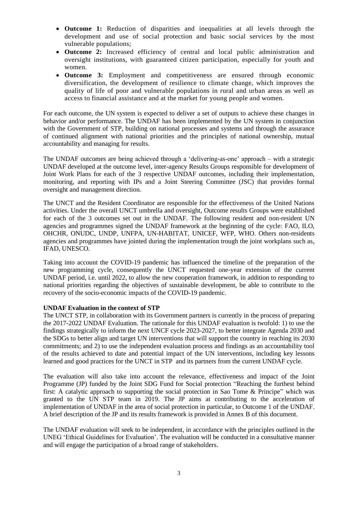- **Outcome 1:** Reduction of disparities and inequalities at all levels through the development and use of social protection and basic social services by the most vulnerable populations;
- **Outcome 2:** Increased efficiency of central and local public administration and oversight institutions, with guaranteed citizen participation, especially for youth and women.
- **Outcome 3:** Employment and competitiveness are ensured through economic diversification, the development of resilience to climate change, which improves the quality of life of poor and vulnerable populations in rural and urban areas as well as access to financial assistance and at the market for young people and women.

For each outcome, the UN system is expected to deliver a set of outputs to achieve these changes in behavior and/or performance. The UNDAF has been implemented by the UN system in conjunction with the Government of STP, building on national processes and systems and through the assurance of continued alignment with national priorities and the principles of national ownership, mutual accountability and managing for results.

The UNDAF outcomes are being achieved through a 'delivering-as-one' approach – with a strategic UNDAF developed at the outcome level, inter-agency Results Groups responsible for development of Joint Work Plans for each of the 3 respective UNDAF outcomes, including their implementation, monitoring, and reporting with IPs and a Joint Steering Committee (JSC) that provides formal oversight and management direction.

The UNCT and the Resident Coordinator are responsible for the effectiveness of the United Nations activities. Under the overall UNCT umbrella and oversight, Outcome results Groups were established for each of the 3 outcomes set out in the UNDAF. The following resident and non-resident UN agencies and programmes signed the UNDAF framework at the beginning of the cycle: FAO, ILO, OHCHR, ONUDC, UNDP, UNFPA, UN-HABITAT, UNICEF, WFP, WHO. Others non-residents agencies and programmes have jointed during the implementation trough the joint workplans such as, IFAD, UNESCO.

Taking into account the COVID-19 pandemic has influenced the timeline of the preparation of the new programming cycle, consequently the UNCT requested one-year extension of the current UNDAF period, i.e. until 2022, to allow the new cooperation framework, in addition to responding to national priorities regarding the objectives of sustainable development, be able to contribute to the recovery of the socio-economic impacts of the COVID-19 pandemic.

### **UNDAF Evaluation in the context of STP**

The UNCT STP, in collaboration with its Government partners is currently in the process of preparing the 2017-2022 UNDAF Evaluation. The rationale for this UNDAF evaluation is twofold: 1) to use the findings strategically to inform the next UNCF cycle 2023-2027, to better integrate Agenda 2030 and the SDGs to better align and target UN interventions that will support the country in reaching its 2030 commitments; and 2) to use the independent evaluation process and findings as an accountability tool of the results achieved to date and potential impact of the UN interventions, including key lessons learned and good practices for the UNCT in STP and its partners from the current UNDAF cycle.

The evaluation will also take into account the relevance, effectiveness and impact of the Joint Programme (JP) funded by the Joint SDG Fund for Social protection "Reaching the furthest behind first: A catalytic approach to supporting the social protection in Sao Tome & Principe" which was granted to the UN STP team in 2019. The JP aims at contributing to the acceleration of implementation of UNDAF in the area of social protection in particular, to Outcome 1 of the UNDAF. A brief description of the JP and its results framework is provided in Annex B of this document.

The UNDAF evaluation will seek to be independent, in accordance with the principles outlined in the UNEG 'Ethical Guidelines for Evaluation'. The evaluation will be conducted in a consultative manner and will engage the participation of a broad range of stakeholders.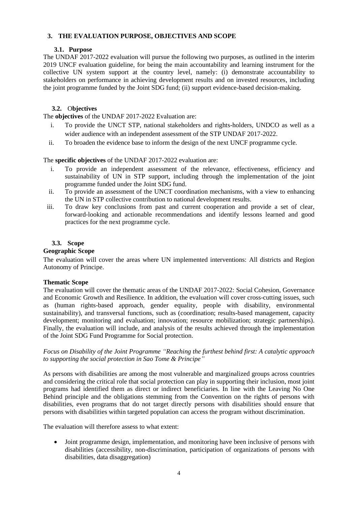# **3. THE EVALUATION PURPOSE, OBJECTIVES AND SCOPE**

# **3.1. Purpose**

The UNDAF 2017-2022 evaluation will pursue the following two purposes, as outlined in the interim 2019 UNCF evaluation guideline, for being the main accountability and learning instrument for the collective UN system support at the country level, namely: (i) demonstrate accountability to stakeholders on performance in achieving development results and on invested resources, including the joint programme funded by the Joint SDG fund; (ii) support evidence-based decision-making.

# **3.2.** O**bjectives**

The **objectives** of the UNDAF 2017-2022 Evaluation are:

- i. To provide the UNCT STP, national stakeholders and rights-holders, UNDCO as well as a wider audience with an independent assessment of the STP UNDAF 2017-2022.
- ii. To broaden the evidence base to inform the design of the next UNCF programme cycle.

# The **specific objectives** of the UNDAF 2017-2022 evaluation are:

- i. To provide an independent assessment of the relevance, effectiveness, efficiency and sustainability of UN in STP support, including through the implementation of the joint programme funded under the Joint SDG fund.
- ii. To provide an assessment of the UNCT coordination mechanisms, with a view to enhancing the UN in STP collective contribution to national development results.
- iii. To draw key conclusions from past and current cooperation and provide a set of clear, forward-looking and actionable recommendations and identify lessons learned and good practices for the next programme cycle.

# **3.3. Scope**

### **Geographic Scope**

The evaluation will cover the areas where UN implemented interventions: All districts and Region Autonomy of Principe.

### **Thematic Scope**

The evaluation will cover the thematic areas of the UNDAF 2017-2022: Social Cohesion, Governance and Economic Growth and Resilience. In addition, the evaluation will cover cross-cutting issues, such as (human rights-based approach, gender equality, people with disability, environmental sustainability), and transversal functions, such as (coordination; results-based management, capacity development; monitoring and evaluation; innovation; resource mobilization; strategic partnerships). Finally, the evaluation will include, and analysis of the results achieved through the implementation of the Joint SDG Fund Programme for Social protection.

# *Focus on Disability of the Joint Programme "Reaching the furthest behind first: A catalytic approach to supporting the social protection in Sao Tome & Principe"*

As persons with disabilities are among the most vulnerable and marginalized groups across countries and considering the critical role that social protection can play in supporting their inclusion, most joint programs had identified them as direct or indirect beneficiaries. In line with the Leaving No One Behind principle and the obligations stemming from the Convention on the rights of persons with disabilities, even programs that do not target directly persons with disabilities should ensure that persons with disabilities within targeted population can access the program without discrimination.

The evaluation will therefore assess to what extent:

• Joint programme design, implementation, and monitoring have been inclusive of persons with disabilities (accessibility, non-discrimination, participation of organizations of persons with disabilities, data disaggregation)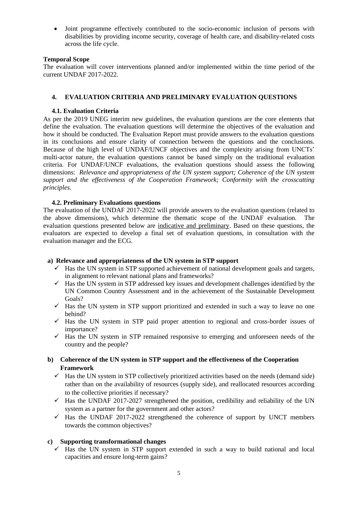• Joint programme effectively contributed to the socio-economic inclusion of persons with disabilities by providing income security, coverage of health care, and disability-related costs across the life cycle.

# **Temporal Scope**

The evaluation will cover interventions planned and/or implemented within the time period of the current UNDAF 2017-2022.

# **4. EVALUATION CRITERIA AND PRELIMINARY EVALUATION QUESTIONS**

# **4.1. Evaluation Criteria**

As per the 2019 UNEG interim new guidelines, the evaluation questions are the core elements that define the evaluation. The evaluation questions will determine the objectives of the evaluation and how it should be conducted. The Evaluation Report must provide answers to the evaluation questions in its conclusions and ensure clarity of connection between the questions and the conclusions. Because of the high level of UNDAF/UNCF objectives and the complexity arising from UNCTs' multi-actor nature, the evaluation questions cannot be based simply on the traditional evaluation criteria. For UNDAF/UNCF evaluations, the evaluation questions should assess the following dimensions: *Relevance and appropriateness of the UN system support; Coherence of the UN system support and the effectiveness of the Cooperation Framework; Conformity with the crosscutting principles.*

# **4.2. Preliminary Evaluations questions**

The evaluation of the UNDAF 2017-2022 will provide answers to the evaluation questions (related to the above dimensions), which determine the thematic scope of the UNDAF evaluation. The evaluation questions presented below are indicative and preliminary. Based on these questions, the evaluators are expected to develop a final set of evaluation questions, in consultation with the evaluation manager and the ECG.

# **a) Relevance and appropriateness of the UN system in STP support**

- $\checkmark$  Has the UN system in STP supported achievement of national development goals and targets, in alignment to relevant national plans and frameworks?
- $\checkmark$  Has the UN system in STP addressed key issues and development challenges identified by the UN Common Country Assessment and in the achievement of the Sustainable Development Goals?
- $\checkmark$  Has the UN system in STP support prioritized and extended in such a way to leave no one behind?
- $\checkmark$  Has the UN system in STP paid proper attention to regional and cross-border issues of importance?
- $\checkmark$  Has the UN system in STP remained responsive to emerging and unforeseen needs of the country and the people?
- **b) Coherence of the UN system in STP support and the effectiveness of the Cooperation Framework**
	- $\checkmark$  Has the UN system in STP collectively prioritized activities based on the needs (demand side) rather than on the availability of resources (supply side), and reallocated resources according to the collective priorities if necessary?
	- $\checkmark$  Has the UNDAF 2017-2027 strengthened the position, credibility and reliability of the UN system as a partner for the government and other actors?
	- $\checkmark$  Has the UNDAF 2017-2022 strengthened the coherence of support by UNCT members towards the common objectives?

# **c) Supporting transformational changes**

 $\checkmark$  Has the UN system in STP support extended in such a way to build national and local capacities and ensure long-term gains?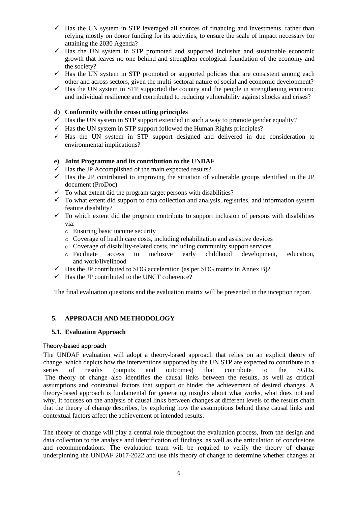- $\checkmark$  Has the UN system in STP leveraged all sources of financing and investments, rather than relying mostly on donor funding for its activities, to ensure the scale of impact necessary for attaining the 2030 Agenda?
- $\checkmark$  Has the UN system in STP promoted and supported inclusive and sustainable economic growth that leaves no one behind and strengthen ecological foundation of the economy and the society?
- $\checkmark$  Has the UN system in STP promoted or supported policies that are consistent among each other and across sectors, given the multi-sectoral nature of social and economic development?
- $\checkmark$  Has the UN system in STP supported the country and the people in strengthening economic and individual resilience and contributed to reducing vulnerability against shocks and crises?

### **d) Conformity with the crosscutting principles**

- $\checkmark$  Has the UN system in STP support extended in such a way to promote gender equality?
- $\checkmark$  Has the UN system in STP support followed the Human Rights principles?
- $\checkmark$  Has the UN system in STP support designed and delivered in due consideration to environmental implications?

### **e) Joint Programme and its contribution to the UNDAF**

- $\checkmark$  Has the JP Accomplished of the main expected results?
- $\checkmark$  Has the JP contributed to improving the situation of vulnerable groups identified in the JP document (ProDoc)
- $\checkmark$  To what extent did the program target persons with disabilities?
- $\checkmark$  To what extent did support to data collection and analysis, registries, and information system feature disability?
- $\checkmark$  To which extent did the program contribute to support inclusion of persons with disabilities via:
	- o Ensuring basic income security
	- o Coverage of health care costs, including rehabilitation and assistive devices
	- o Coverage of disability-related costs, including community support services
	- o Facilitate access to inclusive early childhood development, education, and work/livelihood
- $\checkmark$  Has the JP contributed to SDG acceleration (as per SDG matrix in Annex B)?
- $\checkmark$  Has the JP contributed to the UNCT coherence?

The final evaluation questions and the evaluation matrix will be presented in the inception report.

# **5. APPROACH AND METHODOLOGY**

### **5.1. Evaluation Approach**

### Theory-based approach

The UNDAF evaluation will adopt a theory-based approach that relies on an explicit theory of change, which depicts how the interventions supported by the UN STP are expected to contribute to a series of results (outputs and outcomes) that contribute to the SGDs. The theory of change also identifies the causal links between the results, as well as critical assumptions and contextual factors that support or hinder the achievement of desired changes. A theory-based approach is fundamental for generating insights about what works, what does not and why. It focuses on the analysis of causal links between changes at different levels of the results chain that the theory of change describes, by exploring how the assumptions behind these causal links and contextual factors affect the achievement of intended results.

The theory of change will play a central role throughout the evaluation process, from the design and data collection to the analysis and identification of findings, as well as the articulation of conclusions and recommendations. The evaluation team will be required to verify the theory of change underpinning the UNDAF 2017-2022 and use this theory of change to determine whether changes at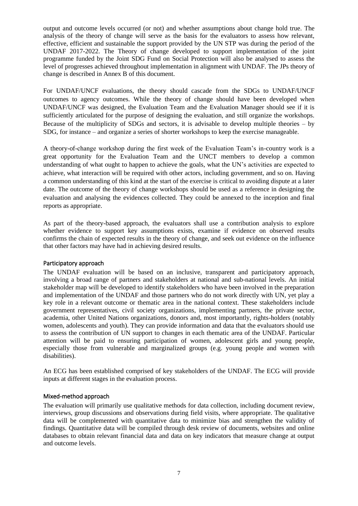output and outcome levels occurred (or not) and whether assumptions about change hold true. The analysis of the theory of change will serve as the basis for the evaluators to assess how relevant, effective, efficient and sustainable the support provided by the UN STP was during the period of the UNDAF 2017-2022. The Theory of change developed to support implementation of the joint programme funded by the Joint SDG Fund on Social Protection will also be analysed to assess the level of progresses achieved throughout implementation in alignment with UNDAF. The JPs theory of change is described in Annex B of this document.

For UNDAF/UNCF evaluations, the theory should cascade from the SDGs to UNDAF/UNCF outcomes to agency outcomes. While the theory of change should have been developed when UNDAF/UNCF was designed, the Evaluation Team and the Evaluation Manager should see if it is sufficiently articulated for the purpose of designing the evaluation, and still organize the workshops. Because of the multiplicity of SDGs and sectors, it is advisable to develop multiple theories – by SDG, for instance – and organize a series of shorter workshops to keep the exercise manageable.

A theory-of-change workshop during the first week of the Evaluation Team's in-country work is a great opportunity for the Evaluation Team and the UNCT members to develop a common understanding of what ought to happen to achieve the goals, what the UN's activities are expected to achieve, what interaction will be required with other actors, including government, and so on. Having a common understanding of this kind at the start of the exercise is critical to avoiding dispute at a later date. The outcome of the theory of change workshops should be used as a reference in designing the evaluation and analysing the evidences collected. They could be annexed to the inception and final reports as appropriate.

As part of the theory-based approach, the evaluators shall use a contribution analysis to explore whether evidence to support key assumptions exists, examine if evidence on observed results confirms the chain of expected results in the theory of change, and seek out evidence on the influence that other factors may have had in achieving desired results.

### Participatory approach

The UNDAF evaluation will be based on an inclusive, transparent and participatory approach, involving a broad range of partners and stakeholders at national and sub-national levels. An initial stakeholder map will be developed to identify stakeholders who have been involved in the preparation and implementation of the UNDAF and those partners who do not work directly with UN, yet play a key role in a relevant outcome or thematic area in the national context. These stakeholders include government representatives, civil society organizations, implementing partners, the private sector, academia, other United Nations organizations, donors and, most importantly, rights-holders (notably women, adolescents and youth). They can provide information and data that the evaluators should use to assess the contribution of UN support to changes in each thematic area of the UNDAF. Particular attention will be paid to ensuring participation of women, adolescent girls and young people, especially those from vulnerable and marginalized groups (e.g. young people and women with disabilities).

An ECG has been established comprised of key stakeholders of the UNDAF. The ECG will provide inputs at different stages in the evaluation process.

### Mixed-method approach

The evaluation will primarily use qualitative methods for data collection, including document review, interviews, group discussions and observations during field visits, where appropriate. The qualitative data will be complemented with quantitative data to minimize bias and strengthen the validity of findings. Quantitative data will be compiled through desk review of documents, websites and online databases to obtain relevant financial data and data on key indicators that measure change at output and outcome levels.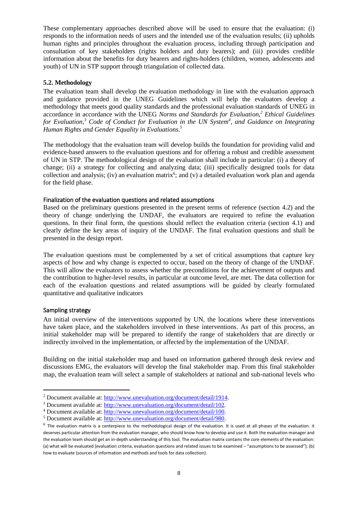These complementary approaches described above will be used to ensure that the evaluation: (i) responds to the information needs of users and the intended use of the evaluation results; (ii) upholds human rights and principles throughout the evaluation process, including through participation and consultation of key stakeholders (rights holders and duty bearers); and (iii) provides credible information about the benefits for duty bearers and rights-holders (children, women, adolescents and youth) of UN in STP support through triangulation of collected data.

### **5.2. Methodology**

The evaluation team shall develop the evaluation methodology in line with the evaluation approach and guidance provided in the UNEG Guidelines which will help the evaluators develop a methodology that meets good quality standards and the professional evaluation standards of UNEG in accordance in accordance with the UNEG *Norms and Standards for Evaluation,<sup>2</sup> Ethical Guidelines for Evaluation,<sup>3</sup> Code of Conduct for Evaluation in the UN System<sup>4</sup> , and Guidance on Integrating Human Rights and Gender Equality in Evaluations.<sup>5</sup>*

The methodology that the evaluation team will develop builds the foundation for providing valid and evidence-based answers to the evaluation questions and for offering a robust and credible assessment of UN in STP. The methodological design of the evaluation shall include in particular: (i) a theory of change; (ii) a strategy for collecting and analyzing data; (iii) specifically designed tools for data collection and analysis; (iv) an evaluation matrix<sup>6</sup>; and (v) a detailed evaluation work plan and agenda for the field phase.

# Finalization of the evaluation questions and related assumptions

Based on the preliminary questions presented in the present terms of reference (section 4.2) and the theory of change underlying the UNDAF, the evaluators are required to refine the evaluation questions. In their final form, the questions should reflect the evaluation criteria (section 4.1) and clearly define the key areas of inquiry of the UNDAF. The final evaluation questions and shall be presented in the design report.

The evaluation questions must be complemented by a set of critical assumptions that capture key aspects of how and why change is expected to occur, based on the theory of change of the UNDAF. This will allow the evaluators to assess whether the preconditions for the achievement of outputs and the contribution to higher-level results, in particular at outcome level, are met. The data collection for each of the evaluation questions and related assumptions will be guided by clearly formulated quantitative and qualitative indicators

### Sampling strategy

An initial overview of the interventions supported by UN, the locations where these interventions have taken place, and the stakeholders involved in these interventions. As part of this process, an initial stakeholder map will be prepared to identify the range of stakeholders that are directly or indirectly involved in the implementation, or affected by the implementation of the UNDAF.

Building on the initial stakeholder map and based on information gathered through desk review and discussions EMG, the evaluators will develop the final stakeholder map. From this final stakeholder map, the evaluation team will select a sample of stakeholders at national and sub-national levels who

<sup>2</sup> Document available at: [http://www.unevaluation.org/document/detail/1914.](http://www.unevaluation.org/document/detail/1914)

<sup>3</sup> Document available at: [http://www.unevaluation.org/document/detail/102.](http://www.unevaluation.org/document/detail/102)

<sup>4</sup> Document available at: [http://www.unevaluation.org/document/detail/100.](http://www.unevaluation.org/document/detail/100)

<sup>5</sup> Document available at: [http://www.unevaluation.org/document/detail/980.](http://www.unevaluation.org/document/detail/980)

 $^6$  The evaluation matrix is a centerpiece to the methodological design of the evaluation. It is used at all phases of the evaluation. it deserves particular attention from the evaluation manager, who should know how to develop and use it. Both the evaluation manager and the evaluation team should get an in-depth understanding of this tool. The evaluation matrix contains the core elements of the evaluation: (a) what will be evaluated (evaluation criteria, evaluation questions and related issues to be examined – "assumptions to be assessed"); (b) how to evaluate (sources of information and methods and tools for data collection).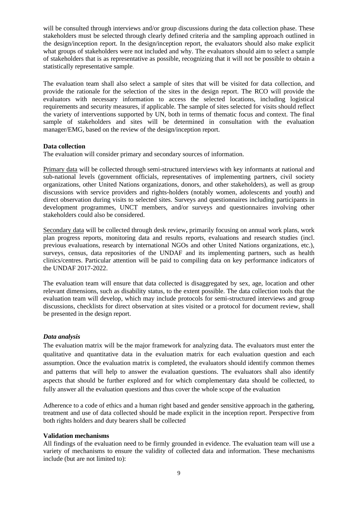will be consulted through interviews and/or group discussions during the data collection phase. These stakeholders must be selected through clearly defined criteria and the sampling approach outlined in the design/inception report. In the design/inception report, the evaluators should also make explicit what groups of stakeholders were not included and why. The evaluators should aim to select a sample of stakeholders that is as representative as possible, recognizing that it will not be possible to obtain a statistically representative sample.

The evaluation team shall also select a sample of sites that will be visited for data collection, and provide the rationale for the selection of the sites in the design report. The RCO will provide the evaluators with necessary information to access the selected locations, including logistical requirements and security measures, if applicable. The sample of sites selected for visits should reflect the variety of interventions supported by UN, both in terms of thematic focus and context. The final sample of stakeholders and sites will be determined in consultation with the evaluation manager/EMG, based on the review of the design/inception report.

#### **Data collection**

The evaluation will consider primary and secondary sources of information.

Primary data will be collected through semi-structured interviews with key informants at national and sub-national levels (government officials, representatives of implementing partners, civil society organizations, other United Nations organizations, donors, and other stakeholders), as well as group discussions with service providers and rights-holders (notably women, adolescents and youth) and direct observation during visits to selected sites. Surveys and questionnaires including participants in development programmes, UNCT members, and/or surveys and questionnaires involving other stakeholders could also be considered.

Secondary data will be collected through desk review**,** primarily focusing on annual work plans, work plan progress reports, monitoring data and results reports, evaluations and research studies (incl. previous evaluations, research by international NGOs and other United Nations organizations, etc.), surveys, census, data repositories of the UNDAF and its implementing partners, such as health clinics/centres. Particular attention will be paid to compiling data on key performance indicators of the UNDAF 2017-2022.

The evaluation team will ensure that data collected is disaggregated by sex, age, location and other relevant dimensions, such as disability status, to the extent possible. The data collection tools that the evaluation team will develop, which may include protocols for semi-structured interviews and group discussions, checklists for direct observation at sites visited or a protocol for document review, shall be presented in the design report.

### *Data analysis*

The evaluation matrix will be the major framework for analyzing data. The evaluators must enter the qualitative and quantitative data in the evaluation matrix for each evaluation question and each assumption. Once the evaluation matrix is completed, the evaluators should identify common themes and patterns that will help to answer the evaluation questions. The evaluators shall also identify aspects that should be further explored and for which complementary data should be collected, to fully answer all the evaluation questions and thus cover the whole scope of the evaluation

Adherence to a code of ethics and a human right based and gender sensitive approach in the gathering, treatment and use of data collected should be made explicit in the inception report. Perspective from both rights holders and duty bearers shall be collected

#### **Validation mechanisms**

All findings of the evaluation need to be firmly grounded in evidence. The evaluation team will use a variety of mechanisms to ensure the validity of collected data and information. These mechanisms include (but are not limited to):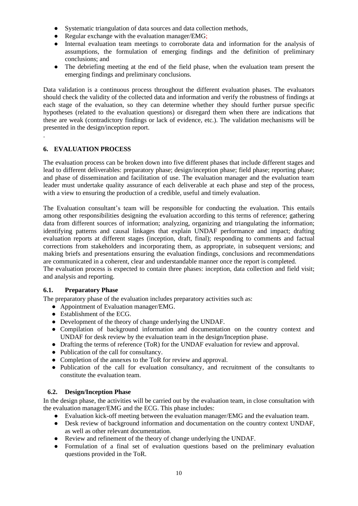- Systematic triangulation of data sources and data collection methods,
- Regular exchange with the evaluation manager/EMG;<br>• Internal evaluation team meetings to corroborate da
- Internal evaluation team meetings to corroborate data and information for the analysis of assumptions, the formulation of emerging findings and the definition of preliminary conclusions; and
- The debriefing meeting at the end of the field phase, when the evaluation team present the emerging findings and preliminary conclusions.

Data validation is a continuous process throughout the different evaluation phases. The evaluators should check the validity of the collected data and information and verify the robustness of findings at each stage of the evaluation, so they can determine whether they should further pursue specific hypotheses (related to the evaluation questions) or disregard them when there are indications that these are weak (contradictory findings or lack of evidence, etc.). The validation mechanisms will be presented in the design/inception report.

# **6. EVALUATION PROCESS**

.

The evaluation process can be broken down into five different phases that include different stages and lead to different deliverables: preparatory phase; design/inception phase; field phase; reporting phase; and phase of dissemination and facilitation of use. The evaluation manager and the evaluation team leader must undertake quality assurance of each deliverable at each phase and step of the process, with a view to ensuring the production of a credible, useful and timely evaluation.

The Evaluation consultant's team will be responsible for conducting the evaluation. This entails among other responsibilities designing the evaluation according to this terms of reference; gathering data from different sources of information; analyzing, organizing and triangulating the information; identifying patterns and causal linkages that explain UNDAF performance and impact; drafting evaluation reports at different stages (inception, draft, final); responding to comments and factual corrections from stakeholders and incorporating them, as appropriate, in subsequent versions; and making briefs and presentations ensuring the evaluation findings, conclusions and recommendations are communicated in a coherent, clear and understandable manner once the report is completed.

The evaluation process is expected to contain three phases: inception, data collection and field visit; and analysis and reporting.

### **6.1. Preparatory Phase**

The preparatory phase of the evaluation includes preparatory activities such as:

- Appointment of Evaluation manager/EMG.
- Establishment of the ECG.
- Development of the theory of change underlying the UNDAF.
- Compilation of background information and documentation on the country context and UNDAF for desk review by the evaluation team in the design/Inception phase.
- Drafting the terms of reference (ToR) for the UNDAF evaluation for review and approval.
- Publication of the call for consultancy.
- Completion of the annexes to the ToR for review and approval.
- Publication of the call for evaluation consultancy, and recruitment of the consultants to constitute the evaluation team.

# **6.2. Design/Inception Phase**

In the design phase, the activities will be carried out by the evaluation team, in close consultation with the evaluation manager/EMG and the ECG. This phase includes:

- Evaluation kick-off meeting between the evaluation manager/EMG and the evaluation team.
- Desk review of background information and documentation on the country context UNDAF, as well as other relevant documentation.
- Review and refinement of the theory of change underlying the UNDAF.
- Formulation of a final set of evaluation questions based on the preliminary evaluation questions provided in the ToR.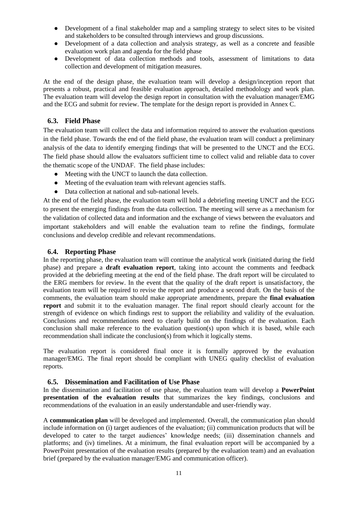- Development of a final stakeholder map and a sampling strategy to select sites to be visited and stakeholders to be consulted through interviews and group discussions.
- Development of a data collection and analysis strategy, as well as a concrete and feasible evaluation work plan and agenda for the field phase
- Development of data collection methods and tools, assessment of limitations to data collection and development of mitigation measures.

At the end of the design phase, the evaluation team will develop a design/inception report that presents a robust, practical and feasible evaluation approach, detailed methodology and work plan. The evaluation team will develop the design report in consultation with the evaluation manager/EMG and the ECG and submit for review. The template for the design report is provided in Annex C.

# **6.3. Field Phase**

The evaluation team will collect the data and information required to answer the evaluation questions in the field phase. Towards the end of the field phase, the evaluation team will conduct a preliminary analysis of the data to identify emerging findings that will be presented to the UNCT and the ECG. The field phase should allow the evaluators sufficient time to collect valid and reliable data to cover the thematic scope of the UNDAF. The field phase includes:

- Meeting with the UNCT to launch the data collection.
- Meeting of the evaluation team with relevant agencies staffs.
- Data collection at national and sub-national levels.

At the end of the field phase, the evaluation team will hold a debriefing meeting UNCT and the ECG to present the emerging findings from the data collection. The meeting will serve as a mechanism for the validation of collected data and information and the exchange of views between the evaluators and important stakeholders and will enable the evaluation team to refine the findings, formulate conclusions and develop credible and relevant recommendations.

### **6.4. Reporting Phase**

In the reporting phase, the evaluation team will continue the analytical work (initiated during the field phase) and prepare a **draft evaluation report**, taking into account the comments and feedback provided at the debriefing meeting at the end of the field phase. The draft report will be circulated to the ERG members for review. In the event that the quality of the draft report is unsatisfactory, the evaluation team will be required to revise the report and produce a second draft. On the basis of the comments, the evaluation team should make appropriate amendments, prepare the **final evaluation report** and submit it to the evaluation manager. The final report should clearly account for the strength of evidence on which findings rest to support the reliability and validity of the evaluation. Conclusions and recommendations need to clearly build on the findings of the evaluation. Each conclusion shall make reference to the evaluation question(s) upon which it is based, while each recommendation shall indicate the conclusion(s) from which it logically stems.

The evaluation report is considered final once it is formally approved by the evaluation manager/EMG. The final report should be compliant with UNEG quality checklist of evaluation reports.

### **6.5. Dissemination and Facilitation of Use Phase**

In the dissemination and facilitation of use phase, the evaluation team will develop a **PowerPoint presentation of the evaluation results** that summarizes the key findings, conclusions and recommendations of the evaluation in an easily understandable and user-friendly way.

A **communication plan** will be developed and implemented. Overall, the communication plan should include information on (i) target audiences of the evaluation; (ii) communication products that will be developed to cater to the target audiences' knowledge needs; (iii) dissemination channels and platforms; and (iv) timelines. At a minimum, the final evaluation report will be accompanied by a PowerPoint presentation of the evaluation results (prepared by the evaluation team) and an evaluation brief (prepared by the evaluation manager/EMG and communication officer).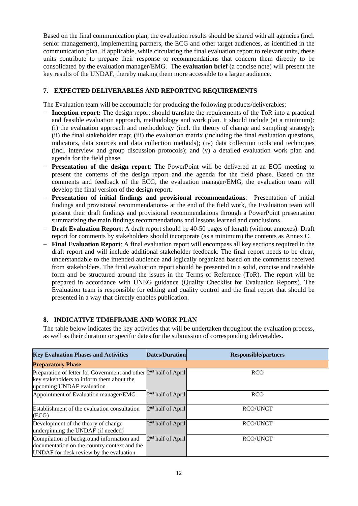Based on the final communication plan, the evaluation results should be shared with all agencies (incl. senior management), implementing partners, the ECG and other target audiences, as identified in the communication plan. If applicable, while circulating the final evaluation report to relevant units, these units contribute to prepare their response to recommendations that concern them directly to be consolidated by the evaluation manager/EMG. The **evaluation brief** (a concise note) will present the key results of the UNDAF, thereby making them more accessible to a larger audience.

# **7. EXPECTED DELIVERABLES AND REPORTING REQUIREMENTS**

The Evaluation team will be accountable for producing the following products/deliverables:

- − **Inception report:** The design report should translate the requirements of the ToR into a practical and feasible evaluation approach, methodology and work plan. It should include (at a minimum): (i) the evaluation approach and methodology (incl. the theory of change and sampling strategy); (ii) the final stakeholder map; (iii) the evaluation matrix (including the final evaluation questions, indicators, data sources and data collection methods); (iv) data collection tools and techniques (incl. interview and group discussion protocols); and (v) a detailed evaluation work plan and agenda for the field phase.
- **Presentation of the design report:** The PowerPoint will be delivered at an ECG meeting to present the contents of the design report and the agenda for the field phase. Based on the comments and feedback of the ECG, the evaluation manager/EMG, the evaluation team will develop the final version of the design report.
- − **Presentation of initial findings and provisional recommendations**: Presentation of initial findings and provisional recommendations- at the end of the field work, the Evaluation team will present their draft findings and provisional recommendations through a PowerPoint presentation summarizing the main findings recommendations and lessons learned and conclusions.
- − **Draft Evaluation Report**: A draft report should be 40-50 pages of length (without annexes). Draft report for comments by stakeholders should incorporate (as a minimum) the contents as Annex C.
- − **Final Evaluation Report**: A final evaluation report will encompass all key sections required in the draft report and will include additional stakeholder feedback. The final report needs to be clear, understandable to the intended audience and logically organized based on the comments received from stakeholders. The final evaluation report should be presented in a solid, concise and readable form and be structured around the issues in the Terms of Reference (ToR). The report will be prepared in accordance with UNEG guidance (Quality Checklist for Evaluation Reports). The Evaluation team is responsible for editing and quality control and the final report that should be presented in a way that directly enables publication.

# **8. INDICATIVE TIMEFRAME AND WORK PLAN**

The table below indicates the key activities that will be undertaken throughout the evaluation process, as well as their duration or specific dates for the submission of corresponding deliverables.

| <b>Key Evaluation Phases and Activities</b>                                                                                                  | Dates/Duration      | <b>Responsible/partners</b> |
|----------------------------------------------------------------------------------------------------------------------------------------------|---------------------|-----------------------------|
| <b>Preparatory Phase</b>                                                                                                                     |                     |                             |
| Preparation of letter for Government and other $2nd$ half of April<br>key stakeholders to inform them about the<br>upcoming UNDAF evaluation |                     | <b>RCO</b>                  |
| Appointment of Evaluation manager/EMG                                                                                                        | $2nd$ half of April | <b>RCO</b>                  |
| Establishment of the evaluation consultation<br>(ECG)                                                                                        | $2nd$ half of April | <b>RCO/UNCT</b>             |
| Development of the theory of change<br>underpinning the UNDAF (if needed)                                                                    | $2nd$ half of April | <b>RCO/UNCT</b>             |
| Compilation of background information and<br>documentation on the country context and the<br>UNDAF for desk review by the evaluation         | $2nd$ half of April | RCO/UNCT                    |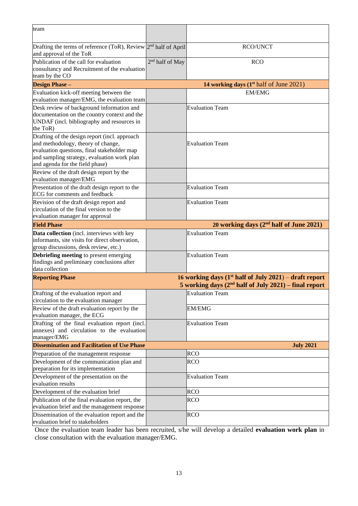| team                                                                                                                                                                                                                 |                             |                                                                                                                     |
|----------------------------------------------------------------------------------------------------------------------------------------------------------------------------------------------------------------------|-----------------------------|---------------------------------------------------------------------------------------------------------------------|
| Drafting the terms of reference (ToR), Review $2nd$ half of April<br>and approval of the ToR                                                                                                                         |                             | <b>RCO/UNCT</b>                                                                                                     |
| Publication of the call for evaluation<br>consultancy and Recruitment of the evaluation<br>team by the CO                                                                                                            | 2 <sup>nd</sup> half of May | <b>RCO</b>                                                                                                          |
| <b>Design Phase -</b>                                                                                                                                                                                                |                             | 14 working days $(1^{st}$ half of June 2021)                                                                        |
| Evaluation kick-off meeting between the<br>evaluation manager/EMG, the evaluation team                                                                                                                               |                             | <b>EM/EMG</b>                                                                                                       |
| Desk review of background information and<br>documentation on the country context and the<br>UNDAF (incl. bibliography and resources in<br>the ToR)                                                                  |                             | <b>Evaluation Team</b>                                                                                              |
| Drafting of the design report (incl. approach<br>and methodology, theory of change,<br>evaluation questions, final stakeholder map<br>and sampling strategy, evaluation work plan<br>and agenda for the field phase) |                             | <b>Evaluation Team</b>                                                                                              |
| Review of the draft design report by the<br>evaluation manager/EMG                                                                                                                                                   |                             |                                                                                                                     |
| Presentation of the draft design report to the<br>ECG for comments and feedback                                                                                                                                      |                             | <b>Evaluation Team</b>                                                                                              |
| Revision of the draft design report and<br>circulation of the final version to the<br>evaluation manager for approval                                                                                                |                             | <b>Evaluation Team</b>                                                                                              |
| <b>Field Phase</b>                                                                                                                                                                                                   |                             | 20 working days (2 <sup>nd</sup> half of June 2021)                                                                 |
| Data collection (incl. interviews with key<br>informants, site visits for direct observation,<br>group discussions, desk review, etc.)                                                                               |                             | <b>Evaluation Team</b>                                                                                              |
| Debriefing meeting to present emerging<br>findings and preliminary conclusions after<br>data collection                                                                                                              |                             | <b>Evaluation Team</b>                                                                                              |
| <b>Reporting Phase</b>                                                                                                                                                                                               |                             | 16 working days $(1st half of July 2021) - draft report$<br>5 working days $(2nd half of July 2021)$ – final report |
| Drafting of the evaluation report and<br>circulation to the evaluation manager                                                                                                                                       |                             | <b>Evaluation Team</b>                                                                                              |
| Review of the draft evaluation report by the<br>evaluation manager, the ECG                                                                                                                                          |                             | <b>EM/EMG</b>                                                                                                       |
| Drafting of the final evaluation report (incl.<br>annexes) and circulation to the evaluation<br>manager/EMG                                                                                                          |                             | <b>Evaluation Team</b>                                                                                              |
| <b>Dissemination and Facilitation of Use Phase</b>                                                                                                                                                                   |                             | <b>July 2021</b>                                                                                                    |
| Preparation of the management response                                                                                                                                                                               |                             | <b>RCO</b>                                                                                                          |
| Development of the communication plan and<br>preparation for its implementation                                                                                                                                      |                             | <b>RCO</b>                                                                                                          |
| Development of the presentation on the<br>evaluation results                                                                                                                                                         |                             | <b>Evaluation Team</b>                                                                                              |
| Development of the evaluation brief                                                                                                                                                                                  |                             | <b>RCO</b>                                                                                                          |
| Publication of the final evaluation report, the<br>evaluation brief and the management response                                                                                                                      |                             | <b>RCO</b>                                                                                                          |
| Dissemination of the evaluation report and the<br>evaluation brief to stakeholders                                                                                                                                   |                             | <b>RCO</b>                                                                                                          |

Once the evaluation team leader has been recruited, s/he will develop a detailed **evaluation work plan** in close consultation with the evaluation manager/EMG.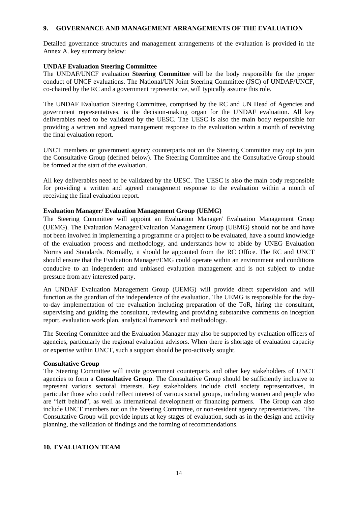# **9. GOVERNANCE AND MANAGEMENT ARRANGEMENTS OF THE EVALUATION**

Detailed governance structures and management arrangements of the evaluation is provided in the Annex A. key summary below:

### **UNDAF Evaluation Steering Committee**

The UNDAF/UNCF evaluation **Steering Committee** will be the body responsible for the proper conduct of UNCF evaluations. The National/UN Joint Steering Committee (JSC) of UNDAF/UNCF, co-chaired by the RC and a government representative, will typically assume this role.

The UNDAF Evaluation Steering Committee, comprised by the RC and UN Head of Agencies and government representatives, is the decision-making organ for the UNDAF evaluation. All key deliverables need to be validated by the UESC. The UESC is also the main body responsible for providing a written and agreed management response to the evaluation within a month of receiving the final evaluation report.

UNCT members or government agency counterparts not on the Steering Committee may opt to join the Consultative Group (defined below). The Steering Committee and the Consultative Group should be formed at the start of the evaluation.

All key deliverables need to be validated by the UESC. The UESC is also the main body responsible for providing a written and agreed management response to the evaluation within a month of receiving the final evaluation report.

# **Evaluation Manager/ Evaluation Management Group (UEMG)**

The Steering Committee will appoint an Evaluation Manager/ Evaluation Management Group (UEMG). The Evaluation Manager/Evaluation Management Group (UEMG) should not be and have not been involved in implementing a programme or a project to be evaluated, have a sound knowledge of the evaluation process and methodology, and understands how to abide by UNEG Evaluation Norms and Standards. Normally, it should be appointed from the RC Office. The RC and UNCT should ensure that the Evaluation Manager/EMG could operate within an environment and conditions conducive to an independent and unbiased evaluation management and is not subject to undue pressure from any interested party.

An UNDAF Evaluation Management Group (UEMG) will provide direct supervision and will function as the guardian of the independence of the evaluation. The UEMG is responsible for the dayto-day implementation of the evaluation including preparation of the ToR, hiring the consultant, supervising and guiding the consultant, reviewing and providing substantive comments on inception report, evaluation work plan, analytical framework and methodology.

The Steering Committee and the Evaluation Manager may also be supported by evaluation officers of agencies, particularly the regional evaluation advisors. When there is shortage of evaluation capacity or expertise within UNCT, such a support should be pro-actively sought.

### **Consultative Group**

The Steering Committee will invite government counterparts and other key stakeholders of UNCT agencies to form a **Consultative Group**. The Consultative Group should be sufficiently inclusive to represent various sectoral interests. Key stakeholders include civil society representatives, in particular those who could reflect interest of various social groups, including women and people who are "left behind", as well as international development or financing partners. The Group can also include UNCT members not on the Steering Committee, or non-resident agency representatives. The Consultative Group will provide inputs at key stages of evaluation, such as in the design and activity planning, the validation of findings and the forming of recommendations.

### **10. EVALUATION TEAM**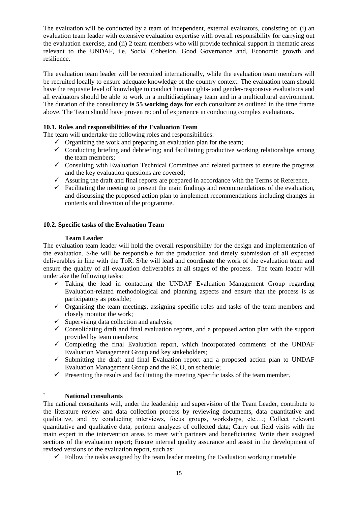The evaluation will be conducted by a team of independent, external evaluators, consisting of: (i) an evaluation team leader with extensive evaluation expertise with overall responsibility for carrying out the evaluation exercise, and (ii) 2 team members who will provide technical support in thematic areas relevant to the UNDAF, i.e. Social Cohesion, Good Governance and, Economic growth and resilience.

The evaluation team leader will be recruited internationally, while the evaluation team members will be recruited locally to ensure adequate knowledge of the country context. The evaluation team should have the requisite level of knowledge to conduct human rights- and gender-responsive evaluations and all evaluators should be able to work in a multidisciplinary team and in a multicultural environment. The duration of the consultancy **is 55 working days for** each consultant as outlined in the time frame above. The Team should have proven record of experience in conducting complex evaluations.

# **10.1. Roles and responsibilities of the Evaluation Team**

The team will undertake the following roles and responsibilities:

- $\checkmark$  Organizing the work and preparing an evaluation plan for the team;
- $\checkmark$  Conducting briefing and debriefing; and facilitating productive working relationships among the team members;
- $\checkmark$  Consulting with Evaluation Technical Committee and related partners to ensure the progress and the key evaluation questions are covered;
- $\checkmark$  Assuring the draft and final reports are prepared in accordance with the Terms of Reference,
- $\checkmark$  Facilitating the meeting to present the main findings and recommendations of the evaluation, and discussing the proposed action plan to implement recommendations including changes in contents and direction of the programme.

### **10.2. Specific tasks of the Evaluation Team**

#### **Team Leader**

The evaluation team leader will hold the overall responsibility for the design and implementation of the evaluation. S/he will be responsible for the production and timely submission of all expected deliverables in line with the ToR. S/he will lead and coordinate the work of the evaluation team and ensure the quality of all evaluation deliverables at all stages of the process. The team leader will undertake the following tasks:

- $\checkmark$  Taking the lead in contacting the UNDAF Evaluation Management Group regarding Evaluation-related methodological and planning aspects and ensure that the process is as participatory as possible;
- $\checkmark$  Organising the team meetings, assigning specific roles and tasks of the team members and closely monitor the work;
- $\checkmark$  Supervising data collection and analysis;
- $\checkmark$  Consolidating draft and final evaluation reports, and a proposed action plan with the support provided by team members;
- $\checkmark$  Completing the final Evaluation report, which incorporated comments of the UNDAF Evaluation Management Group and key stakeholders;
- $\checkmark$  Submitting the draft and final Evaluation report and a proposed action plan to UNDAF Evaluation Management Group and the RCO, on schedule;
- $\checkmark$  Presenting the results and facilitating the meeting Specific tasks of the team member.

### **` National consultants**

The national consultants will, under the leadership and supervision of the Team Leader, contribute to the literature review and data collection process by reviewing documents, data quantitative and qualitative, and by conducting interviews, focus groups, workshops, etc.…; Collect relevant quantitative and qualitative data, perform analyzes of collected data; Carry out field visits with the main expert in the intervention areas to meet with partners and beneficiaries; Write their assigned sections of the evaluation report; Ensure internal quality assurance and assist in the development of revised versions of the evaluation report, such as:

 $\checkmark$  Follow the tasks assigned by the team leader meeting the Evaluation working timetable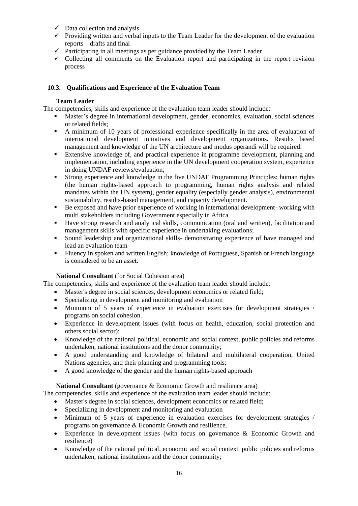- $\checkmark$  Data collection and analysis
- $\checkmark$  Providing written and verbal inputs to the Team Leader for the development of the evaluation reports – drafts and final
- $\checkmark$  Participating in all meetings as per guidance provided by the Team Leader
- $\checkmark$  Collecting all comments on the Evaluation report and participating in the report revision process

# **10.3. Qualifications and Experience of the Evaluation Team**

### **Team Leader**

The competencies, skills and experience of the evaluation team leader should include:

- Master's degree in international development, gender, economics, evaluation, social sciences or related fields;
- A minimum of 10 years of professional experience specifically in the area of evaluation of international development initiatives and development organizations. Results based management and knowledge of the UN architecture and modus operandi will be required.
- Extensive knowledge of, and practical experience in programme development, planning and implementation, including experience in the UN development cooperation system, experience in doing UNDAF reviews/evaluation;
- **EXECUTE:** Strong experience and knowledge in the five UNDAF Programming Principles: human rights (the human rights-based approach to programming, human rights analysis and related mandates within the UN system), gender equality (especially gender analysis), environmental sustainability, results-based management, and capacity development.
- Be exposed and have prior experience of working in international development- working with multi stakeholders including Government especially in Africa
- Have strong research and analytical skills, communication (oral and written), facilitation and management skills with specific experience in undertaking evaluations;
- Sound leadership and organizational skills- demonstrating experience of have managed and lead an evaluation team
- Fluency in spoken and written English; knowledge of Portuguese, Spanish or French language is considered to be an asset.

### **National Consultant** (for Social Cohesion area)

The competencies, skills and experience of the evaluation team leader should include:

- Master's degree in social sciences, development economics or related field;
- Specializing in development and monitoring and evaluation
- Minimum of 5 years of experience in evaluation exercises for development strategies / programs on social cohesion.
- Experience in development issues (with focus on health, education, social protection and others social sector);
- Knowledge of the national political, economic and social context, public policies and reforms undertaken, national institutions and the donor community;
- A good understanding and knowledge of bilateral and multilateral cooperation, United Nations agencies, and their planning and programming tools;
- A good knowledge of the gender and the human rights-based approach

### **National Consultant** (governance & Economic Growth and resilience area)

The competencies, skills and experience of the evaluation team leader should include:

- Master's degree in social sciences, development economics or related field;
- Specializing in development and monitoring and evaluation
- Minimum of 5 years of experience in evaluation exercises for development strategies / programs on governance & Economic Growth and resilience.
- Experience in development issues (with focus on governance & Economic Growth and resilience)
- Knowledge of the national political, economic and social context, public policies and reforms undertaken, national institutions and the donor community;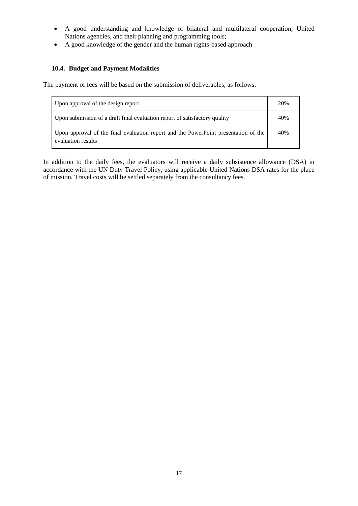- A good understanding and knowledge of bilateral and multilateral cooperation, United Nations agencies, and their planning and programming tools;
- A good knowledge of the gender and the human rights-based approach

# **10.4. Budget and Payment Modalities**

The payment of fees will be based on the submission of deliverables, as follows:

| Upon approval of the design report                                                                        |  |
|-----------------------------------------------------------------------------------------------------------|--|
| Upon submission of a draft final evaluation report of satisfactory quality                                |  |
| Upon approval of the final evaluation report and the PowerPoint presentation of the<br>evaluation results |  |

In addition to the daily fees, the evaluators will receive a daily subsistence allowance (DSA) in accordance with the UN Duty Travel Policy, using applicable United Nations DSA rates for the place of mission. Travel costs will be settled separately from the consultancy fees.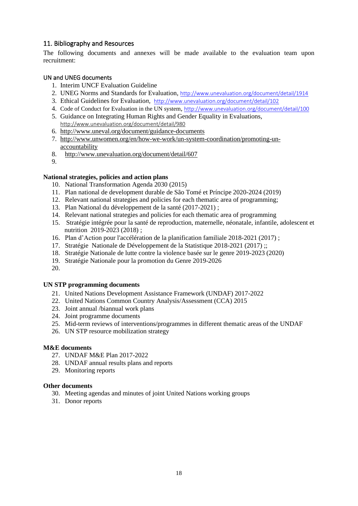# 11. Bibliography and Resources

The following documents and annexes will be made available to the evaluation team upon recruitment:

# UN and UNEG documents

- 1. Interim UNCF Evaluation Guideline
- 2. UNEG Norms and Standards for Evaluation*,* <http://www.unevaluation.org/document/detail/1914>
- 3. Ethical Guidelines for Evaluatio*n,* <http://www.unevaluation.org/document/detail/102>
- 4. Code of Conduct for Evaluation in the UN system*,* <http://www.unevaluation.org/document/detail/100>
- 5. Guidance on Integrating Human Rights and Gender Equality in Evaluations*,*  <http://www.unevaluation.org/document/detail/980>
- 6. <http://www.uneval.org/document/guidance-documents>
- 7. [http://www.unwomen.org/en/how-we-work/un-system-coordination/promoting-un](http://www.unwomen.org/en/how-we-work/un-system-coordination/promoting-un-accountability)[accountability](http://www.unwomen.org/en/how-we-work/un-system-coordination/promoting-un-accountability)
- 8. <http://www.unevaluation.org/document/detail/607>
- 9.

# **National strategies, policies and action plans**

- 10. National Transformation Agenda 2030 (2015)
- 11. Plan national de development durable de São Tomé et Príncipe 2020-2024 (2019)
- 12. Relevant national strategies and policies for each thematic area of programming;
- 13. Plan National du développement de la santé (2017-2021) ;
- 14. Relevant national strategies and policies for each thematic area of programming
- 15. Stratégie intégrée pour la santé de reproduction, maternelle, néonatale, infantile, adolescent et nutrition 2019-2023 (2018) ;
- 16. Plan d'Action pour l'accélération de la planification familiale 2018-2021 (2017) ;
- 17. Stratégie Nationale de Développement de la Statistique 2018-2021 (2017) ;;
- 18. Stratégie Nationale de lutte contre la violence basée sur le genre 2019-2023 (2020)
- 19. Stratégie Nationale pour la promotion du Genre 2019-2026
- 20.

### **UN STP programming documents**

- 21. United Nations Development Assistance Framework (UNDAF) 2017-2022
- 22. United Nations Common Country Analysis/Assessment (CCA) 2015
- 23. Joint annual /biannual work plans
- 24. Joint programme documents
- 25. Mid-term reviews of interventions/programmes in different thematic areas of the UNDAF
- 26. UN STP resource mobilization strategy

### **M&E documents**

- 27. UNDAF M&E Plan 2017-2022
- 28. UNDAF annual results plans and reports
- 29. Monitoring reports

### **Other documents**

- 30. Meeting agendas and minutes of joint United Nations working groups
- 31. Donor reports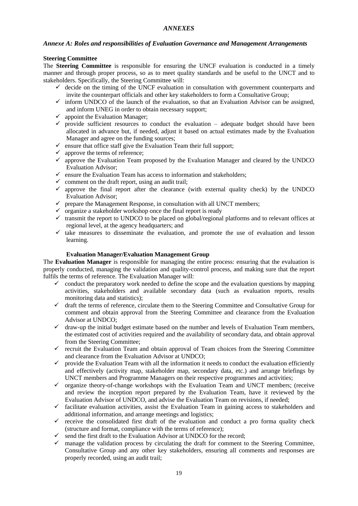### *ANNEXES*

### *Annexe A: Roles and responsibilities of Evaluation Governance and Management Arrangements*

#### **Steering Committee**

The **Steering Committee** is responsible for ensuring the UNCF evaluation is conducted in a timely manner and through proper process, so as to meet quality standards and be useful to the UNCT and to stakeholders. Specifically, the Steering Committee will:

- $\checkmark$  decide on the timing of the UNCF evaluation in consultation with government counterparts and invite the counterpart officials and other key stakeholders to form a Consultative Group;
- $\checkmark$  inform UNDCO of the launch of the evaluation, so that an Evaluation Advisor can be assigned, and inform UNEG in order to obtain necessary support;
- $\checkmark$  appoint the Evaluation Manager;
- $\checkmark$  provide sufficient resources to conduct the evaluation adequate budget should have been allocated in advance but, if needed, adjust it based on actual estimates made by the Evaluation Manager and agree on the funding sources;
- $\checkmark$  ensure that office staff give the Evaluation Team their full support;<br> $\checkmark$  annrove the terms of reference:
- approve the terms of reference;
- $\checkmark$  approve the Evaluation Team proposed by the Evaluation Manager and cleared by the UNDCO Evaluation Advisor;
- $\checkmark$  ensure the Evaluation Team has access to information and stakeholders:
- $\checkmark$  comment on the draft report, using an audit trail:
- $\checkmark$  approve the final report after the clearance (with external quality check) by the UNDCO Evaluation Advisor;
- $\checkmark$  prepare the Management Response, in consultation with all UNCT members;
- $\checkmark$  organize a stakeholder workshop once the final report is ready
- $\checkmark$  transmit the report to UNDCO to be placed on global/regional platforms and to relevant offices at regional level, at the agency headquarters; and
- $\checkmark$  take measures to disseminate the evaluation, and promote the use of evaluation and lesson learning.

#### **Evaluation Manager/Evaluation Management Group**

The **Evaluation Manager** is responsible for managing the entire process: ensuring that the evaluation is properly conducted, managing the validation and quality-control process, and making sure that the report fulfils the terms of reference. The Evaluation Manager will:

- $\checkmark$  conduct the preparatory work needed to define the scope and the evaluation questions by mapping activities, stakeholders and available secondary data (such as evaluation reports, results monitoring data and statistics);
- $\checkmark$  draft the terms of reference, circulate them to the Steering Committee and Consultative Group for comment and obtain approval from the Steering Committee and clearance from the Evaluation Advisor at UNDCO;
- $\checkmark$  draw-up the initial budget estimate based on the number and levels of Evaluation Team members, the estimated cost of activities required and the availability of secondary data, and obtain approval from the Steering Committee;
- $\checkmark$  recruit the Evaluation Team and obtain approval of Team choices from the Steering Committee and clearance from the Evaluation Advisor at UNDCO;
- $\checkmark$  provide the Evaluation Team with all the information it needs to conduct the evaluation efficiently and effectively (activity map, stakeholder map, secondary data, etc.) and arrange briefings by UNCT members and Programme Managers on their respective programmes and activities;
- $\checkmark$  organize theory-of-change workshops with the Evaluation Team and UNCT members; (receive and review the inception report prepared by the Evaluation Team, have it reviewed by the Evaluation Advisor of UNDCO, and advise the Evaluation Team on revisions, if needed;
- ✓ facilitate evaluation activities, assist the Evaluation Team in gaining access to stakeholders and additional information, and arrange meetings and logistics;
- $\checkmark$  receive the consolidated first draft of the evaluation and conduct a pro forma quality check (structure and format, compliance with the terms of reference);
- $\checkmark$  send the first draft to the Evaluation Advisor at UNDCO for the record;
- $\checkmark$  manage the validation process by circulating the draft for comment to the Steering Committee, Consultative Group and any other key stakeholders, ensuring all comments and responses are properly recorded, using an audit trail;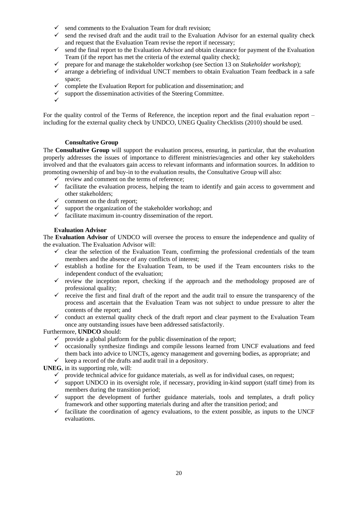- $\checkmark$  send comments to the Evaluation Team for draft revision;
- $\checkmark$  send the revised draft and the audit trail to the Evaluation Advisor for an external quality check and request that the Evaluation Team revise the report if necessary;
- $\checkmark$  send the final report to the Evaluation Advisor and obtain clearance for payment of the Evaluation Team (if the report has met the criteria of the external quality check);
- ✓ prepare for and manage the stakeholder workshop (see Section 13 on *Stakeholder workshop*);
- arrange a debriefing of individual UNCT members to obtain Evaluation Team feedback in a safe space;
- $\checkmark$  complete the Evaluation Report for publication and dissemination; and
- support the dissemination activities of the Steering Committee.
- ✓

For the quality control of the Terms of Reference, the inception report and the final evaluation report – including for the external quality check by UNDCO, UNEG Quality Checklists (2010) should be used.

#### **Consultative Group**

The **Consultative Group** will support the evaluation process, ensuring, in particular, that the evaluation properly addresses the issues of importance to different ministries/agencies and other key stakeholders involved and that the evaluators gain access to relevant informants and information sources. In addition to promoting ownership of and buy-in to the evaluation results, the Consultative Group will also:

- $\checkmark$  review and comment on the terms of reference;
- ✓ facilitate the evaluation process, helping the team to identify and gain access to government and other stakeholders;
- $\checkmark$  comment on the draft report;
- $\checkmark$  support the organization of the stakeholder workshop; and
- $\checkmark$  facilitate maximum in-country dissemination of the report.

#### **Evaluation Advisor**

The **Evaluation Advisor** of UNDCO will oversee the process to ensure the independence and quality of the evaluation. The Evaluation Advisor will:

- $\checkmark$  clear the selection of the Evaluation Team, confirming the professional credentials of the team members and the absence of any conflicts of interest;
- $\checkmark$  establish a hotline for the Evaluation Team, to be used if the Team encounters risks to the independent conduct of the evaluation;
- $\checkmark$  review the inception report, checking if the approach and the methodology proposed are of professional quality;
- $\checkmark$  receive the first and final draft of the report and the audit trail to ensure the transparency of the process and ascertain that the Evaluation Team was not subject to undue pressure to alter the contents of the report; and
- $\checkmark$  conduct an external quality check of the draft report and clear payment to the Evaluation Team once any outstanding issues have been addressed satisfactorily.

#### Furthermore, **UNDCO** should:

- $\checkmark$  provide a global platform for the public dissemination of the report;
- $\checkmark$  occasionally synthesize findings and compile lessons learned from UNCF evaluations and feed them back into advice to UNCTs, agency management and governing bodies, as appropriate; and  $\checkmark$  keep a record of the drafts and audit trail in a depository.
- 

**UNEG**, in its supporting role, will:

- ✓ provide technical advice for guidance materials, as well as for individual cases, on request;
- $\checkmark$  support UNDCO in its oversight role, if necessary, providing in-kind support (staff time) from its members during the transition period;
- $\checkmark$  support the development of further guidance materials, tools and templates, a draft policy framework and other supporting materials during and after the transition period; and
- $\checkmark$  facilitate the coordination of agency evaluations, to the extent possible, as inputs to the UNCF evaluations.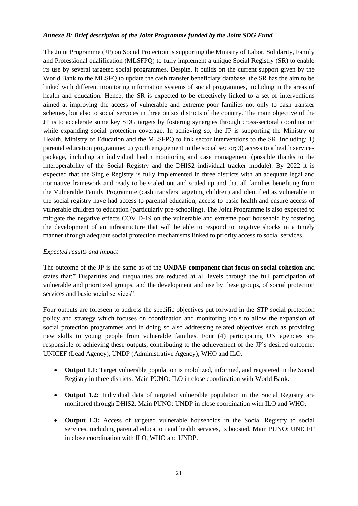### *Annexe B: Brief description of the Joint Programme funded by the Joint SDG Fund*

The Joint Programme (JP) on Social Protection is supporting the Ministry of Labor, Solidarity, Family and Professional qualification (MLSFPQ) to fully implement a unique Social Registry (SR) to enable its use by several targeted social programmes. Despite, it builds on the current support given by the World Bank to the MLSFQ to update the cash transfer beneficiary database, the SR has the aim to be linked with different monitoring information systems of social programmes, including in the areas of health and education. Hence, the SR is expected to be effectively linked to a set of interventions aimed at improving the access of vulnerable and extreme poor families not only to cash transfer schemes, but also to social services in three on six districts of the country. The main objective of the JP is to accelerate some key SDG targets by fostering synergies through cross-sectoral coordination while expanding social protection coverage. In achieving so, the JP is supporting the Ministry or Health, Ministry of Education and the MLSFPQ to link sector interventions to the SR, including: 1) parental education programme; 2) youth engagement in the social sector; 3) access to a health services package, including an individual health monitoring and case management (possible thanks to the interoperability of the Social Registry and the DHIS2 individual tracker module). By 2022 it is expected that the Single Registry is fully implemented in three districts with an adequate legal and normative framework and ready to be scaled out and scaled up and that all families benefiting from the Vulnerable Family Programme (cash transfers targeting children) and identified as vulnerable in the social registry have had access to parental education, access to basic health and ensure access of vulnerable children to education (particularly pre-schooling). The Joint Programme is also expected to mitigate the negative effects COVID-19 on the vulnerable and extreme poor household by fostering the development of an infrastructure that will be able to respond to negative shocks in a timely manner through adequate social protection mechanisms linked to priority access to social services.

# *Expected results and impact*

The outcome of the JP is the same as of the **UNDAF component that focus on social cohesion** and states that:" Disparities and inequalities are reduced at all levels through the full participation of vulnerable and prioritized groups, and the development and use by these groups, of social protection services and basic social services".

Four outputs are foreseen to address the specific objectives put forward in the STP social protection policy and strategy which focuses on coordination and monitoring tools to allow the expansion of social protection programmes and in doing so also addressing related objectives such as providing new skills to young people from vulnerable families. Four (4) participating UN agencies are responsible of achieving these outputs, contributing to the achievement of the JP's desired outcome: UNICEF (Lead Agency), UNDP (Administrative Agency), WHO and ILO.

- **Output 1.1:** Target vulnerable population is mobilized, informed, and registered in the Social Registry in three districts. Main PUNO: ILO in close coordination with World Bank.
- **Output 1.2:** Individual data of targeted vulnerable population in the Social Registry are monitored through DHIS2. Main PUNO: UNDP in close coordination with ILO and WHO.
- **Output 1.3:** Access of targeted vulnerable households in the Social Registry to social services, including parental education and health services, is boosted. Main PUNO: UNICEF in close coordination with ILO, WHO and UNDP.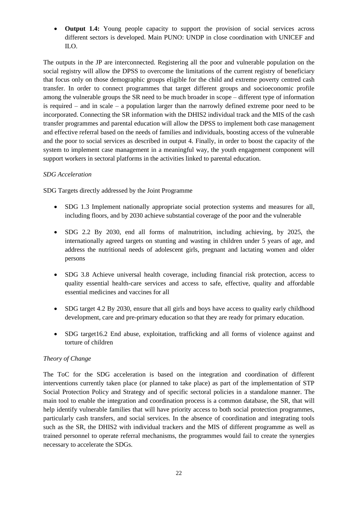• **Output 1.4:** Young people capacity to support the provision of social services across different sectors is developed. Main PUNO: UNDP in close coordination with UNICEF and ILO.

The outputs in the JP are interconnected. Registering all the poor and vulnerable population on the social registry will allow the DPSS to overcome the limitations of the current registry of beneficiary that focus only on those demographic groups eligible for the child and extreme poverty centred cash transfer. In order to connect programmes that target different groups and socioeconomic profile among the vulnerable groups the SR need to be much broader in scope – different type of information is required – and in scale – a population larger than the narrowly defined extreme poor need to be incorporated. Connecting the SR information with the DHIS2 individual track and the MIS of the cash transfer programmes and parental education will allow the DPSS to implement both case management and effective referral based on the needs of families and individuals, boosting access of the vulnerable and the poor to social services as described in output 4. Finally, in order to boost the capacity of the system to implement case management in a meaningful way, the youth engagement component will support workers in sectoral platforms in the activities linked to parental education.

# *SDG Acceleration*

SDG Targets directly addressed by the Joint Programme

- SDG 1.3 Implement nationally appropriate social protection systems and measures for all, including floors, and by 2030 achieve substantial coverage of the poor and the vulnerable
- SDG 2.2 By 2030, end all forms of malnutrition, including achieving, by 2025, the internationally agreed targets on stunting and wasting in children under 5 years of age, and address the nutritional needs of adolescent girls, pregnant and lactating women and older persons
- SDG 3.8 Achieve universal health coverage, including financial risk protection, access to quality essential health-care services and access to safe, effective, quality and affordable essential medicines and vaccines for all
- SDG target 4.2 By 2030, ensure that all girls and boys have access to quality early childhood development, care and pre-primary education so that they are ready for primary education.
- SDG target16.2 End abuse, exploitation, trafficking and all forms of violence against and torture of children

# *Theory of Change*

The ToC for the SDG acceleration is based on the integration and coordination of different interventions currently taken place (or planned to take place) as part of the implementation of STP Social Protection Policy and Strategy and of specific sectoral policies in a standalone manner. The main tool to enable the integration and coordination process is a common database, the SR, that will help identify vulnerable families that will have priority access to both social protection programmes, particularly cash transfers, and social services. In the absence of coordination and integrating tools such as the SR, the DHIS2 with individual trackers and the MIS of different programme as well as trained personnel to operate referral mechanisms, the programmes would fail to create the synergies necessary to accelerate the SDGs.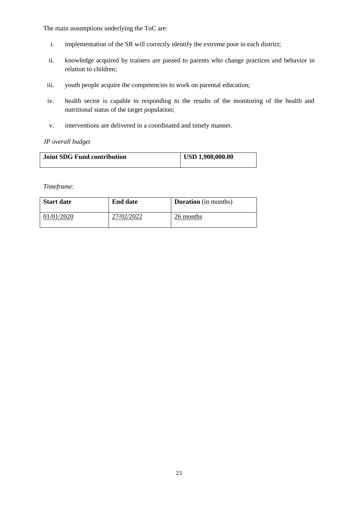The main assumptions underlying the ToC are:

- i. implementation of the SR will correctly identify the extreme poor in each district;
- ii. knowledge acquired by trainers are passed to parents who change practices and behavior in relation to children;
- iii. youth people acquire the competencies to work on parental education;
- iv. health sector is capable to responding to the results of the monitoring of the health and nutritional status of the target population;
- v. interventions are delivered in a coordinated and timely manner.

# *JP overall budget*

| <b>Joint SDG Fund contribution</b> | USD 1,900,000.00 |
|------------------------------------|------------------|
|                                    |                  |

*Timeframe:* 

| <b>Start date</b> | <b>End date</b> | <b>Duration</b> (in months) |
|-------------------|-----------------|-----------------------------|
| 01/01/2020        | 27/02/2022      | 26 months                   |